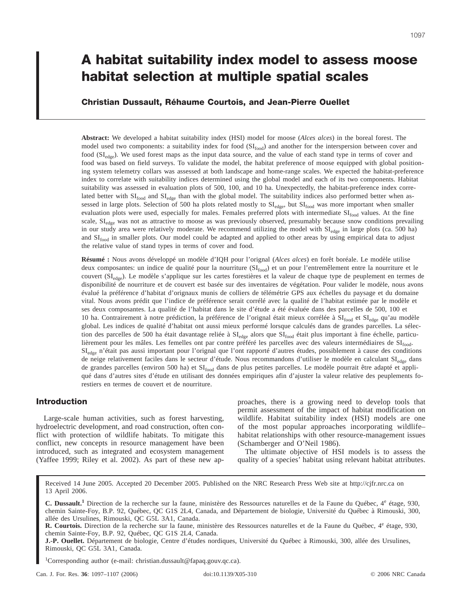# **A habitat suitability index model to assess moose habitat selection at multiple spatial scales**

**Christian Dussault, Réhaume Courtois, and Jean-Pierre Ouellet**

**Abstract:** We developed a habitat suitability index (HSI) model for moose (*Alces alces*) in the boreal forest. The model used two components: a suitability index for food (SI<sub>food</sub>) and another for the interspersion between cover and food (SI<sub>edge</sub>). We used forest maps as the input data source, and the value of each stand type in terms of cover and food was based on field surveys. To validate the model, the habitat preference of moose equipped with global positioning system telemetry collars was assessed at both landscape and home-range scales. We expected the habitat-preference index to correlate with suitability indices determined using the global model and each of its two components. Habitat suitability was assessed in evaluation plots of 500, 100, and 10 ha. Unexpectedly, the habitat-preference index correlated better with  $SI_{food}$  and  $SI_{edge}$  than with the global model. The suitability indices also performed better when assessed in large plots. Selection of 500 ha plots related mostly to  $SI_{edge}$ , but  $SI_{food}$  was more important when smaller evaluation plots were used, especially for males. Females preferred plots with intermediate  $SI<sub>food</sub>$  values. At the fine scale, SI<sub>edge</sub> was not as attractive to moose as was previously observed, presumably because snow conditions prevailing in our study area were relatively moderate. We recommend utilizing the model with  $SI_{\text{edge}}$  in large plots (ca. 500 ha) and  $SI<sub>food</sub>$  in smaller plots. Our model could be adapted and applied to other areas by using empirical data to adjust the relative value of stand types in terms of cover and food.

**Résumé :** Nous avons développé un modèle d'IQH pour l'orignal (*Alces alces*) en forêt boréale. Le modèle utilise deux composantes: un indice de qualité pour la nourriture (SI<sub>food</sub>) et un pour l'entremêlement entre la nourriture et le couvert (SI<sub>edge</sub>). Le modèle s'applique sur les cartes forestières et la valeur de chaque type de peuplement en termes de disponibilité de nourriture et de couvert est basée sur des inventaires de végétation. Pour valider le modèle, nous avons évalué la préférence d'habitat d'orignaux munis de colliers de télémétrie GPS aux échelles du paysage et du domaine vital. Nous avons prédit que l'indice de préférence serait corrélé avec la qualité de l'habitat estimée par le modèle et ses deux composantes. La qualité de l'habitat dans le site d'étude a été évaluée dans des parcelles de 500, 100 et 10 ha. Contrairement à notre prédiction, la préférence de l'orignal était mieux corrélée à  $SI_{food}$  et  $SI_{edge}$  qu'au modèle global. Les indices de qualité d'habitat ont aussi mieux performé lorsque calculés dans de grandes parcelles. La sélection des parcelles de 500 ha était davantage reliée à SI<sub>edge</sub> alors que SI<sub>food</sub> était plus important à fine échelle, particulièrement pour les mâles. Les femelles ont par contre préféré les parcelles avec des valeurs intermédiaires de SIfood.  $SI_{edge}$  n'était pas aussi important pour l'orignal que l'ont rapporté d'autres études, possiblement à cause des conditions de neige relativement faciles dans le secteur d'étude. Nous recommandons d'utiliser le modèle en calculant SI<sub>edge</sub> dans de grandes parcelles (environ 500 ha) et SIf<sub>ood</sub> dans de plus petites parcelles. Le modèle pourrait être adapté et appliqué dans d'autres sites d'étude en utilisant des données empiriques afin d'ajuster la valeur relative des peuplements forestiers en termes de couvert et de nourriture.

## **Introduction**

Large-scale human activities, such as forest harvesting, hydroelectric development, and road construction, often conflict with protection of wildlife habitats. To mitigate this conflict, new concepts in resource management have been introduced, such as integrated and ecosystem management (Yaffee 1999; Riley et al. 2002). As part of these new approaches, there is a growing need to develop tools that permit assessment of the impact of habitat modification on wildlife. Habitat suitability index (HSI) models are one of the most popular approaches incorporating wildlife– habitat relationships with other resource-management issues (Schamberger and O'Neil 1986).

The ultimate objective of HSI models is to assess the quality of a species' habitat using relevant habitat attributes.

Received 14 June 2005. Accepted 20 December 2005. Published on the NRC Research Press Web site at http://cjfr.nrc.ca on 13 April 2006.

**C. Dussault.<sup>1</sup>** Direction de la recherche sur la faune, ministère des Ressources naturelles et de la Faune du Québec, 4<sup>e</sup> étage, 930, chemin Sainte-Foy, B.P. 92, Québec, QC G1S 2L4, Canada, and Département de biologie, Université du Québec à Rimouski, 300, allée des Ursulines, Rimouski, QC G5L 3A1, Canada.

**R. Courtois.** Direction de la recherche sur la faune, ministère des Ressources naturelles et de la Faune du Québec, 4<sup>e</sup> étage, 930, chemin Sainte-Foy, B.P. 92, Québec, QC G1S 2L4, Canada.

**J.-P. Ouellet.** Département de biologie, Centre d'études nordiques, Université du Québec à Rimouski, 300, allée des Ursulines, Rimouski, QC G5L 3A1, Canada.

1 Corresponding author (e-mail: christian.dussault@fapaq.gouv.qc.ca).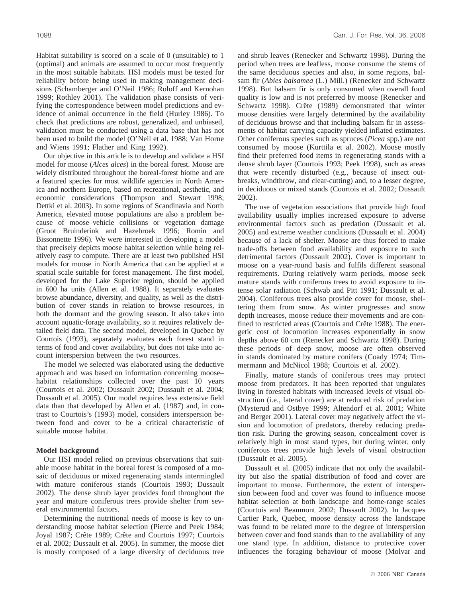Habitat suitability is scored on a scale of 0 (unsuitable) to 1 (optimal) and animals are assumed to occur most frequently in the most suitable habitats. HSI models must be tested for reliability before being used in making management decisions (Schamberger and O'Neil 1986; Roloff and Kernohan 1999; Rothley 2001). The validation phase consists of verifying the correspondence between model predictions and evidence of animal occurrence in the field (Hurley 1986). To check that predictions are robust, generalized, and unbiased, validation must be conducted using a data base that has not been used to build the model (O'Neil et al. 1988; Van Horne and Wiens 1991; Flather and King 1992).

Our objective in this article is to develop and validate a HSI model for moose (*Alces alces*) in the boreal forest. Moose are widely distributed throughout the boreal-forest biome and are a featured species for most wildlife agencies in North America and northern Europe, based on recreational, aesthetic, and economic considerations (Thompson and Stewart 1998; Dettki et al. 2003). In some regions of Scandinavia and North America, elevated moose populations are also a problem because of moose–vehicle collisions or vegetation damage (Groot Bruinderink and Hazebroek 1996; Romin and Bissonnette 1996). We were interested in developing a model that precisely depicts moose habitat selection while being relatively easy to compute. There are at least two published HSI models for moose in North America that can be applied at a spatial scale suitable for forest management. The first model, developed for the Lake Superior region, should be applied in 600 ha units (Allen et al. 1988). It separately evaluates browse abundance, diversity, and quality, as well as the distribution of cover stands in relation to browse resources, in both the dormant and the growing season. It also takes into account aquatic-forage availability, so it requires relatively detailed field data. The second model, developed in Quebec by Courtois (1993), separately evaluates each forest stand in terms of food and cover availability, but does not take into account interspersion between the two resources.

The model we selected was elaborated using the deductive approach and was based on information concerning moose– habitat relationships collected over the past 10 years (Courtois et al. 2002; Dussault 2002; Dussault et al. 2004; Dussault et al. 2005). Our model requires less extensive field data than that developed by Allen et al. (1987) and, in contrast to Courtois's (1993) model, considers interspersion between food and cover to be a critical characteristic of suitable moose habitat.

#### **Model background**

Our HSI model relied on previous observations that suitable moose habitat in the boreal forest is composed of a mosaic of deciduous or mixed regenerating stands intermingled with mature coniferous stands (Courtois 1993; Dussault 2002). The dense shrub layer provides food throughout the year and mature coniferous trees provide shelter from several environmental factors.

Determining the nutritional needs of moose is key to understanding moose habitat selection (Pierce and Peek 1984; Joyal 1987; Crête 1989; Crête and Courtois 1997; Courtois et al. 2002; Dussault et al. 2005). In summer, the moose diet is mostly composed of a large diversity of deciduous tree and shrub leaves (Renecker and Schwartz 1998). During the period when trees are leafless, moose consume the stems of the same deciduous species and also, in some regions, balsam fir (*Abies balsamea* (L.) Mill.) (Renecker and Schwartz 1998). But balsam fir is only consumed when overall food quality is low and is not preferred by moose (Renecker and Schwartz 1998). Crête (1989) demonstrated that winter moose densities were largely determined by the availability of deciduous browse and that including balsam fir in assessments of habitat carrying capacity yielded inflated estimates. Other coniferous species such as spruces (*Picea* spp.) are not consumed by moose (Kurttila et al. 2002). Moose mostly find their preferred food items in regenerating stands with a dense shrub layer (Courtois 1993; Peek 1998), such as areas that were recently disturbed (e.g., because of insect outbreaks, windthrow, and clear-cutting) and, to a lesser degree, in deciduous or mixed stands (Courtois et al. 2002; Dussault 2002).

The use of vegetation associations that provide high food availability usually implies increased exposure to adverse environmental factors such as predation (Dussault et al. 2005) and extreme weather conditions (Dussault et al. 2004) because of a lack of shelter. Moose are thus forced to make trade-offs between food availability and exposure to such detrimental factors (Dussault 2002). Cover is important to moose on a year-round basis and fulfils different seasonal requirements. During relatively warm periods, moose seek mature stands with coniferous trees to avoid exposure to intense solar radiation (Schwab and Pitt 1991; Dussault et al. 2004). Coniferous trees also provide cover for moose, sheltering them from snow. As winter progresses and snow depth increases, moose reduce their movements and are confined to restricted areas (Courtois and Crête 1988). The energetic cost of locomotion increases exponentially in snow depths above 60 cm (Renecker and Schwartz 1998). During these periods of deep snow, moose are often observed in stands dominated by mature conifers (Coady 1974; Timmermann and McNicol 1988; Courtois et al. 2002).

Finally, mature stands of coniferous trees may protect moose from predators. It has been reported that ungulates living in forested habitats with increased levels of visual obstruction (i.e., lateral cover) are at reduced risk of predation (Mysterud and Ostbye 1999; Altendorf et al. 2001; White and Berger 2001). Lateral cover may negatively affect the vision and locomotion of predators, thereby reducing predation risk. During the growing season, concealment cover is relatively high in most stand types, but during winter, only coniferous trees provide high levels of visual obstruction (Dussault et al. 2005).

Dussault et al. (2005) indicate that not only the availability but also the spatial distribution of food and cover are important to moose. Furthermore, the extent of interspersion between food and cover was found to influence moose habitat selection at both landscape and home-range scales (Courtois and Beaumont 2002; Dussault 2002). In Jacques Cartier Park, Quebec, moose density across the landscape was found to be related more to the degree of interspersion between cover and food stands than to the availability of any one stand type. In addition, distance to protective cover influences the foraging behaviour of moose (Molvar and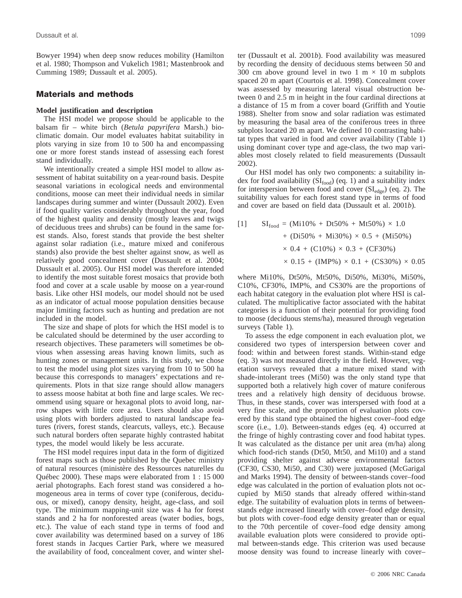Bowyer 1994) when deep snow reduces mobility (Hamilton et al. 1980; Thompson and Vukelich 1981; Mastenbrook and Cumming 1989; Dussault et al. 2005).

## **Materials and methods**

#### **Model justification and description**

The HSI model we propose should be applicable to the balsam fir – white birch (*Betula papyrifera* Marsh.) bioclimatic domain. Our model evaluates habitat suitability in plots varying in size from 10 to 500 ha and encompassing one or more forest stands instead of assessing each forest stand individually.

We intentionally created a simple HSI model to allow assessment of habitat suitability on a year-round basis. Despite seasonal variations in ecological needs and environmental conditions, moose can meet their individual needs in similar landscapes during summer and winter (Dussault 2002). Even if food quality varies considerably throughout the year, food of the highest quality and density (mostly leaves and twigs of deciduous trees and shrubs) can be found in the same forest stands. Also, forest stands that provide the best shelter against solar radiation (i.e., mature mixed and coniferous stands) also provide the best shelter against snow, as well as relatively good concealment cover (Dussault et al. 2004; Dussault et al. 2005). Our HSI model was therefore intended to identify the most suitable forest mosaics that provide both food and cover at a scale usable by moose on a year-round basis. Like other HSI models, our model should not be used as an indicator of actual moose population densities because major limiting factors such as hunting and predation are not included in the model.

The size and shape of plots for which the HSI model is to be calculated should be determined by the user according to research objectives. These parameters will sometimes be obvious when assessing areas having known limits, such as hunting zones or management units. In this study, we chose to test the model using plot sizes varying from 10 to 500 ha because this corresponds to managers' expectations and requirements. Plots in that size range should allow managers to assess moose habitat at both fine and large scales. We recommend using square or hexagonal plots to avoid long, narrow shapes with little core area. Users should also avoid using plots with borders adjusted to natural landscape features (rivers, forest stands, clearcuts, valleys, etc.). Because such natural borders often separate highly contrasted habitat types, the model would likely be less accurate.

The HSI model requires input data in the form of digitized forest maps such as those published by the Quebec ministry of natural resources (ministère des Ressources naturelles du Québec 2000). These maps were elaborated from 1 : 15 000 aerial photographs. Each forest stand was considered a homogeneous area in terms of cover type (coniferous, deciduous, or mixed), canopy density, height, age-class, and soil type. The minimum mapping-unit size was 4 ha for forest stands and 2 ha for nonforested areas (water bodies, bogs, etc.). The value of each stand type in terms of food and cover availability was determined based on a survey of 186 forest stands in Jacques Cartier Park, where we measured the availability of food, concealment cover, and winter shelter (Dussault et al. 2001*b*). Food availability was measured by recording the density of deciduous stems between 50 and 300 cm above ground level in two 1 m  $\times$  10 m subplots spaced 20 m apart (Courtois et al. 1998). Concealment cover was assessed by measuring lateral visual obstruction between 0 and 2.5 m in height in the four cardinal directions at a distance of 15 m from a cover board (Griffith and Youtie 1988). Shelter from snow and solar radiation was estimated by measuring the basal area of the coniferous trees in three subplots located 20 m apart. We defined 10 contrasting habitat types that varied in food and cover availability (Table 1) using dominant cover type and age-class, the two map variables most closely related to field measurements (Dussault 2002).

Our HSI model has only two components: a suitability index for food availability  $(SI_{food})$  (eq. 1) and a suitability index for interspersion between food and cover  $(SI_{edge})$  (eq. 2). The suitability values for each forest stand type in terms of food and cover are based on field data (Dussault et al. 2001*b*).

$$
[1] \quad SI_{\text{food}} = (Mi10\% + Dt50\% + Mt50\%) \times 1.0
$$
  
+ (Di50\% + Mi30\%) \times 0.5 + (Mi50\%)  

$$
\times 0.4 + (C10\%) \times 0.3 + (CF30\%)
$$
  

$$
\times 0.15 + (IMP\%) \times 0.1 + (CS30\%) \times 0.05
$$

where Mi10%, Dt50%, Mt50%, Di50%, Mi30%, Mi50%, C10%, CF30%, IMP%, and CS30% are the proportions of each habitat category in the evaluation plot where HSI is calculated. The multiplicative factor associated with the habitat categories is a function of their potential for providing food to moose (deciduous stems/ha), measured through vegetation surveys (Table 1).

To assess the edge component in each evaluation plot, we considered two types of interspersion between cover and food: within and between forest stands. Within-stand edge (eq. 3) was not measured directly in the field. However, vegetation surveys revealed that a mature mixed stand with shade-intolerant trees (Mi50) was the only stand type that supported both a relatively high cover of mature coniferous trees and a relatively high density of deciduous browse. Thus, in these stands, cover was interspersed with food at a very fine scale, and the proportion of evaluation plots covered by this stand type obtained the highest cover–food edge score (i.e., 1.0). Between-stands edges (eq. 4) occurred at the fringe of highly contrasting cover and food habitat types. It was calculated as the distance per unit area (m/ha) along which food-rich stands (Dt50, Mt50, and Mi10) and a stand providing shelter against adverse environmental factors (CF30, CS30, Mi50, and C30) were juxtaposed (McGarigal and Marks 1994). The density of between-stands cover–food edge was calculated in the portion of evaluation plots not occupied by Mi50 stands that already offered within-stand edge. The suitability of evaluation plots in terms of betweenstands edge increased linearly with cover–food edge density, but plots with cover–food edge density greater than or equal to the 70th percentile of cover–food edge density among available evaluation plots were considered to provide optimal between-stands edge. This criterion was used because moose density was found to increase linearly with cover–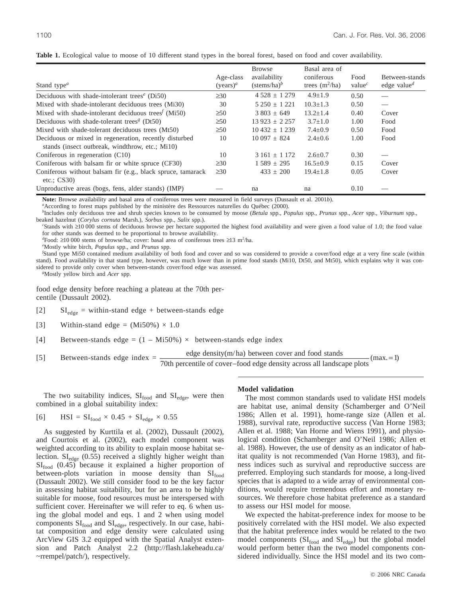|                                                                                                           |             | <b>Browse</b>              | Basal area of    |            |                                      |
|-----------------------------------------------------------------------------------------------------------|-------------|----------------------------|------------------|------------|--------------------------------------|
|                                                                                                           | Age-class   | availability               | coniferous       | Food       | Between-stands                       |
| Stand type <sup><math>a</math></sup>                                                                      | $(vears)^a$ | $(s$ tems/ha) <sup>b</sup> | trees $(m^2/ha)$ | value $^c$ | edge value <sup><math>d</math></sup> |
| Deciduous with shade-intolerant trees <sup><math>e</math></sup> (Di50)                                    | >30         | $4528 \pm 1279$            | $4.9 \pm 1.9$    | 0.50       |                                      |
| Mixed with shade-intolerant deciduous trees (Mi30)                                                        | 30          | $5250 + 1221$              | $10.3 + 1.3$     | 0.50       |                                      |
| Mixed with shade-intolerant deciduous trees $(Mi50)$                                                      | $\geq 50$   | $3.803 + 649$              | $13.2 + 1.4$     | 0.40       | Cover                                |
| Deciduous with shade-tolerant trees <sup><math>g</math></sup> (Dt50)                                      | $\geq 50$   | $13923 + 2257$             | $3.7 + 1.0$      | 1.00       | Food                                 |
| Mixed with shade-tolerant deciduous trees (Mt50)                                                          | $\geq 50$   | $10\,432 \pm 1\,239$       | $7.4 \pm 0.9$    | 0.50       | Food                                 |
| Deciduous or mixed in regeneration, recently disturbed<br>stands (insect outbreak, windthrow, etc.; Mi10) | 10          | $10097 \pm 824$            | $2.4 \pm 0.6$    | 1.00       | Food                                 |
| Coniferous in regeneration (C10)                                                                          | 10          | $3161 + 1172$              | $2.6 + 0.7$      | 0.30       |                                      |
| Coniferous with balsam fir or white spruce (CF30)                                                         | $\geq 30$   | $1589 \pm 295$             | $16.5 \pm 0.9$   | 0.15       | Cover                                |
| Coniferous without balsam fir (e.g., black spruce, tamarack<br>etc.: $CS30$                               | $\geq 30$   | $433 \pm 200$              | $19.4 \pm 1.8$   | 0.05       | Cover                                |
| Unproductive areas (bogs, fens, alder stands) (IMP)                                                       |             | na                         | na               | 0.10       |                                      |

**Table 1.** Ecological value to moose of 10 different stand types in the boreal forest, based on food and cover availability.

**Note:** Browse availability and basal area of coniferous trees were measured in field surveys (Dussault et al. 2001*b*). *<sup>a</sup>*

According to forest maps published by the ministère des Ressources naturelles du Québec (2000).

*b* Includes only deciduous tree and shrub species known to be consumed by moose (*Betula* spp., *Populus* spp., *Prunus* spp., *Acer* spp., *Viburnum* spp., beaked hazelnut (*Corylus cornuta* Marsh.), *Sorbus* spp., *Salix* spp.). *<sup>c</sup>*

Stands with ≥10 000 stems of deciduous browse per hectare supported the highest food availability and were given a food value of 1.0; the food value for other stands was deemed to be proportional to browse availability.

 $d_{\text{Food}}$ : ≥10 000 stems of browse/ha; cover: basal area of coniferous trees ≥13 m<sup>2</sup>/ha.<br>*<sup>e</sup>Mostly white high Panylus* and *Primitie* and *Primitie* and *Primitie* 

Mostly white birch, *Populus* spp., and *Prunus* spp. *<sup>f</sup>*

Stand type Mi50 contained medium availability of both food and cover and so was considered to provide a cover/food edge at a very fine scale (within stand). Food availability in that stand type, however, was much lower than in prime food stands (Mi10, Dt50, and Mt50), which explains why it was considered to provide only cover when between-stands cover/food edge was assessed. *<sup>g</sup>*

Mostly yellow birch and *Acer* spp.

food edge density before reaching a plateau at the 70th percentile (Dussault 2002).

- [2]  $SI_{edge}$  = within-stand edge + between-stands edge
- [3] Within-stand edge =  $(Mi50\%) \times 1.0$
- [4] Between-stands edge =  $(1 Mi50\%) \times$  between-stands edge index
- [5] Between-stands edge index =  $\frac{\text{edge density}(m/ha)$  between cover and food stands (max. = 1) = 70th percentile of cover-food edge density across all landscape plots

The two suitability indices,  $SI<sub>food</sub>$  and  $SI<sub>edge</sub>$ , were then combined in a global suitability index:

$$
[6] \qquad \text{HSI} = \text{SI}_{\text{food}} \times 0.45 + \text{SI}_{\text{edge}} \times 0.55
$$

As suggested by Kurttila et al. (2002), Dussault (2002), and Courtois et al. (2002), each model component was weighted according to its ability to explain moose habitat selection.  $SI_{edge}$  (0.55) received a slightly higher weight than  $SI_{\text{food}}$  (0.45) because it explained a higher proportion of between-plots variation in moose density than  $SI_{food}$ (Dussault 2002). We still consider food to be the key factor in assessing habitat suitability, but for an area to be highly suitable for moose, food resources must be interspersed with sufficient cover. Hereinafter we will refer to eq. 6 when using the global model and eqs. 1 and 2 when using model components  $SI_{\text{food}}$  and  $SI_{\text{edge}}$ , respectively. In our case, habitat composition and edge density were calculated using ArcView GIS 3.2 equipped with the Spatial Analyst extension and Patch Analyst 2.2 (http://flash.lakeheadu.ca/ ~rrempel/patch/), respectively.

#### **Model validation**

The most common standards used to validate HSI models are habitat use, animal density (Schamberger and O'Neil 1986; Allen et al. 1991), home-range size (Allen et al. 1988), survival rate, reproductive success (Van Horne 1983; Allen et al. 1988; Van Horne and Wiens 1991), and physiological condition (Schamberger and O'Neil 1986; Allen et al. 1988). However, the use of density as an indicator of habitat quality is not recommended (Van Horne 1983), and fitness indices such as survival and reproductive success are preferred. Employing such standards for moose, a long-lived species that is adapted to a wide array of environmental conditions, would require tremendous effort and monetary resources. We therefore chose habitat preference as a standard to assess our HSI model for moose.

We expected the habitat-preference index for moose to be positively correlated with the HSI model. We also expected that the habitat preference index would be related to the two model components  $(SI_{food}$  and  $SI_{edge}$ ) but the global model would perform better than the two model components considered individually. Since the HSI model and its two com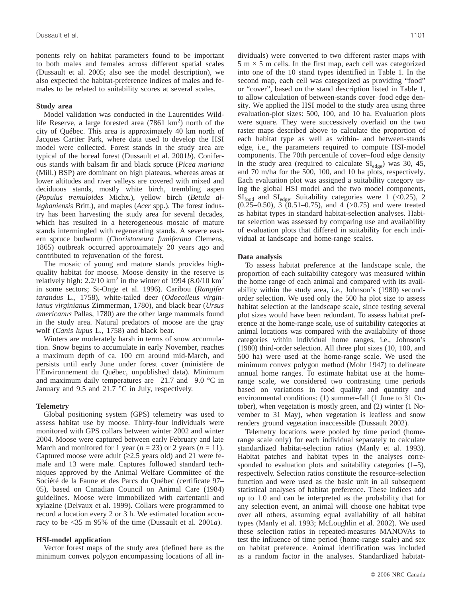ponents rely on habitat parameters found to be important to both males and females across different spatial scales (Dussault et al. 2005; also see the model description), we also expected the habitat-preference indices of males and females to be related to suitability scores at several scales.

#### **Study area**

Model validation was conducted in the Laurentides Wildlife Reserve, a large forested area (7861 km<sup>2</sup>) north of the city of Québec. This area is approximately 40 km north of Jacques Cartier Park, where data used to develop the HSI model were collected. Forest stands in the study area are typical of the boreal forest (Dussault et al. 2001*b*). Coniferous stands with balsam fir and black spruce (*Picea mariana* (Mill.) BSP) are dominant on high plateaus, whereas areas at lower altitudes and river valleys are covered with mixed and deciduous stands, mostly white birch, trembling aspen (*Populus tremuloides* Michx.), yellow birch (*Betula alleghaniensis* Britt.), and maples (*Acer* spp.). The forest industry has been harvesting the study area for several decades, which has resulted in a heterogeneous mosaic of mature stands intermingled with regenerating stands. A severe eastern spruce budworm (*Choristoneura fumiferana* Clemens, 1865) outbreak occurred approximately 20 years ago and contributed to rejuvenation of the forest.

The mosaic of young and mature stands provides highquality habitat for moose. Moose density in the reserve is relatively high:  $2.2/10 \text{ km}^2$  in the winter of 1994 (8.0/10 km<sup>2</sup>) in some sectors; St-Onge et al. 1996). Caribou (*Rangifer tarandus* L., 1758), white-tailed deer (*Odocoileus virginianus virginianus* Zimmerman, 1780), and black bear (*Ursus americanus* Pallas, 1780) are the other large mammals found in the study area. Natural predators of moose are the gray wolf (*Canis lupus* L., 1758) and black bear.

Winters are moderately harsh in terms of snow accumulation. Snow begins to accumulate in early November, reaches a maximum depth of ca. 100 cm around mid-March, and persists until early June under forest cover (ministère de l'Environnement du Québec, unpublished data). Minimum and maximum daily temperatures are  $-21.7$  and  $-9.0$  °C in January and 9.5 and 21.7 °C in July, respectively.

## **Telemetry**

Global positioning system (GPS) telemetry was used to assess habitat use by moose. Thirty-four individuals were monitored with GPS collars between winter 2002 and winter 2004. Moose were captured between early February and late March and monitored for 1 year  $(n = 23)$  or 2 years  $(n = 11)$ . Captured moose were adult (≥2.5 years old) and 21 were female and 13 were male. Captures followed standard techniques approved by the Animal Welfare Committee of the Société de la Faune et des Parcs du Québec (certificate 97– 05), based on Canadian Council on Animal Care (1984) guidelines. Moose were immobilized with carfentanil and xylazine (Delvaux et al. 1999). Collars were programmed to record a location every 2 or 3 h. We estimated location accuracy to be <35 m 95% of the time (Dussault et al. 2001*a*).

## **HSI-model application**

Vector forest maps of the study area (defined here as the minimum convex polygon encompassing locations of all individuals) were converted to two different raster maps with  $5 \text{ m} \times 5 \text{ m}$  cells. In the first map, each cell was categorized into one of the 10 stand types identified in Table 1. In the second map, each cell was categorized as providing "food" or "cover", based on the stand description listed in Table 1, to allow calculation of between-stands cover–food edge density. We applied the HSI model to the study area using three evaluation-plot sizes: 500, 100, and 10 ha. Evaluation plots were square. They were successively overlaid on the two raster maps described above to calculate the proportion of each habitat type as well as within- and between-stands edge, i.e., the parameters required to compute HSI-model components. The 70th percentile of cover–food edge density in the study area (required to calculate  $SI_{edge}$ ) was 30, 45, and 70 m/ha for the 500, 100, and 10 ha plots, respectively. Each evaluation plot was assigned a suitability category using the global HSI model and the two model components,  $SI_{food}$  and  $SI_{edge}$ . Suitability categories were 1 (<0.25), 2  $(0.25-0.50)$ , 3  $(0.51-0.75)$ , and 4  $(>0.75)$  and were treated as habitat types in standard habitat-selection analyses. Habitat selection was assessed by comparing use and availability of evaluation plots that differed in suitability for each individual at landscape and home-range scales.

## **Data analysis**

To assess habitat preference at the landscape scale, the proportion of each suitability category was measured within the home range of each animal and compared with its availability within the study area, i.e., Johnson's (1980) secondorder selection. We used only the 500 ha plot size to assess habitat selection at the landscape scale, since testing several plot sizes would have been redundant. To assess habitat preference at the home-range scale, use of suitability categories at animal locations was compared with the availability of those categories within individual home ranges, i.e., Johnson's (1980) third-order selection. All three plot sizes (10, 100, and 500 ha) were used at the home-range scale. We used the minimum convex polygon method (Mohr 1947) to delineate annual home ranges. To estimate habitat use at the homerange scale, we considered two contrasting time periods based on variations in food quality and quantity and environmental conditions: (1) summer–fall (1 June to 31 October), when vegetation is mostly green, and (2) winter (1 November to 31 May), when vegetation is leafless and snow renders ground vegetation inaccessible (Dussault 2002).

Telemetry locations were pooled by time period (homerange scale only) for each individual separately to calculate standardized habitat-selection ratios (Manly et al. 1993). Habitat patches and habitat types in the analyses corresponded to evaluation plots and suitability categories (1–5), respectively. Selection ratios constitute the resource-selection function and were used as the basic unit in all subsequent statistical analyses of habitat preference. These indices add up to 1.0 and can be interpreted as the probability that for any selection event, an animal will choose one habitat type over all others, assuming equal availability of all habitat types (Manly et al. 1993; McLoughlin et al. 2002). We used these selection ratios in repeated-measures MANOVAs to test the influence of time period (home-range scale) and sex on habitat preference. Animal identification was included as a random factor in the analyses. Standardized habitat-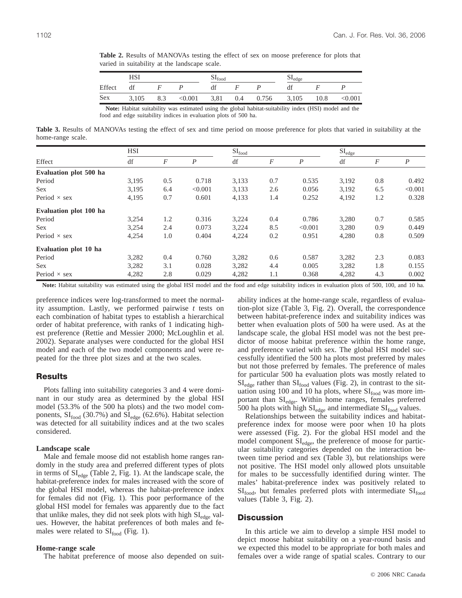|            | HSI   |     |         | $\mathbf{P}_{\text{food}}$ |     |       | $ightharpoonup$ $\text{edge}$ |      |         |
|------------|-------|-----|---------|----------------------------|-----|-------|-------------------------------|------|---------|
| Effect     | df    |     |         | di                         |     |       | df                            |      |         |
| <b>Sex</b> | 3,105 | 8.3 | < 0.001 | 3,81                       | 0.4 | 0.756 | 3,105                         | 10.8 | < 0.001 |

**Table 2.** Results of MANOVAs testing the effect of sex on moose preference for plots that varied in suitability at the landscape scale.

**Note:** Habitat suitability was estimated using the global habitat-suitability index (HSI) model and the food and edge suitability indices in evaluation plots of 500 ha.

**Table 3.** Results of MANOVAs testing the effect of sex and time period on moose preference for plots that varied in suitability at the home-range scale.

| Effect                 | <b>HSI</b> |                  |                  | $SI_{food}$ |                  |                  |       | $SI_{edge}$ |                  |  |
|------------------------|------------|------------------|------------------|-------------|------------------|------------------|-------|-------------|------------------|--|
|                        | df         | $\boldsymbol{F}$ | $\boldsymbol{P}$ | df          | $\boldsymbol{F}$ | $\boldsymbol{P}$ | df    | F           | $\boldsymbol{P}$ |  |
| Evaluation plot 500 ha |            |                  |                  |             |                  |                  |       |             |                  |  |
| Period                 | 3,195      | 0.5              | 0.718            | 3,133       | 0.7              | 0.535            | 3,192 | 0.8         | 0.492            |  |
| <b>Sex</b>             | 3,195      | 6.4              | < 0.001          | 3,133       | 2.6              | 0.056            | 3,192 | 6.5         | < 0.001          |  |
| Period $\times$ sex    | 4,195      | 0.7              | 0.601            | 4,133       | 1.4              | 0.252            | 4,192 | 1.2         | 0.328            |  |
| Evaluation plot 100 ha |            |                  |                  |             |                  |                  |       |             |                  |  |
| Period                 | 3,254      | 1.2              | 0.316            | 3,224       | 0.4              | 0.786            | 3,280 | 0.7         | 0.585            |  |
| <b>Sex</b>             | 3,254      | 2.4              | 0.073            | 3,224       | 8.5              | < 0.001          | 3,280 | 0.9         | 0.449            |  |
| Period $\times$ sex    | 4,254      | 1.0              | 0.404            | 4,224       | 0.2              | 0.951            | 4,280 | 0.8         | 0.509            |  |
| Evaluation plot 10 ha  |            |                  |                  |             |                  |                  |       |             |                  |  |
| Period                 | 3,282      | 0.4              | 0.760            | 3,282       | 0.6              | 0.587            | 3,282 | 2.3         | 0.083            |  |
| <b>Sex</b>             | 3,282      | 3.1              | 0.028            | 3,282       | 4.4              | 0.005            | 3,282 | 1.8         | 0.155            |  |
| Period $\times$ sex    | 4,282      | 2.8              | 0.029            | 4,282       | 1.1              | 0.368            | 4,282 | 4.3         | 0.002            |  |

**Note:** Habitat suitability was estimated using the global HSI model and the food and edge suitability indices in evaluation plots of 500, 100, and 10 ha.

preference indices were log-transformed to meet the normality assumption. Lastly, we performed pairwise *t* tests on each combination of habitat types to establish a hierarchical order of habitat preference, with ranks of 1 indicating highest preference (Rettie and Messier 2000; McLoughlin et al. 2002). Separate analyses were conducted for the global HSI model and each of the two model components and were repeated for the three plot sizes and at the two scales.

## **Results**

Plots falling into suitability categories 3 and 4 were dominant in our study area as determined by the global HSI model (53.3% of the 500 ha plots) and the two model components,  $SI_{food}$  (30.7%) and  $SI_{edge}$  (62.6%). Habitat selection was detected for all suitability indices and at the two scales considered.

## **Landscape scale**

Male and female moose did not establish home ranges randomly in the study area and preferred different types of plots in terms of  $SI_{\text{edge}}$  (Table 2, Fig. 1). At the landscape scale, the habitat-preference index for males increased with the score of the global HSI model, whereas the habitat-preference index for females did not (Fig. 1). This poor performance of the global HSI model for females was apparently due to the fact that unlike males, they did not seek plots with high  $SI_{\text{edge}}$  values. However, the habitat preferences of both males and females were related to  $SI_{food}$  (Fig. 1).

#### **Home-range scale**

The habitat preference of moose also depended on suit-

ability indices at the home-range scale, regardless of evaluation-plot size (Table 3, Fig. 2). Overall, the correspondence between habitat-preference index and suitability indices was better when evaluation plots of 500 ha were used. As at the landscape scale, the global HSI model was not the best predictor of moose habitat preference within the home range, and preference varied with sex. The global HSI model successfully identified the 500 ha plots most preferred by males but not those preferred by females. The preference of males for particular 500 ha evaluation plots was mostly related to  $SI_{edge}$  rather than  $SI_{food}$  values (Fig. 2), in contrast to the situation using 100 and 10 ha plots, where  $SI<sub>food</sub>$  was more important than SI<sub>edge</sub>. Within home ranges, females preferred 500 ha plots with high  $SI_{edge}$  and intermediate  $SI_{food}$  values.

Relationships between the suitability indices and habitatpreference index for moose were poor when 10 ha plots were assessed (Fig. 2). For the global HSI model and the model component SI<sub>edge</sub>, the preference of moose for particular suitability categories depended on the interaction between time period and sex (Table 3), but relationships were not positive. The HSI model only allowed plots unsuitable for males to be successfully identified during winter. The males' habitat-preference index was positively related to  $SI_{food}$ , but females preferred plots with intermediate  $SI_{food}$ values (Table 3, Fig. 2).

## **Discussion**

In this article we aim to develop a simple HSI model to depict moose habitat suitability on a year-round basis and we expected this model to be appropriate for both males and females over a wide range of spatial scales. Contrary to our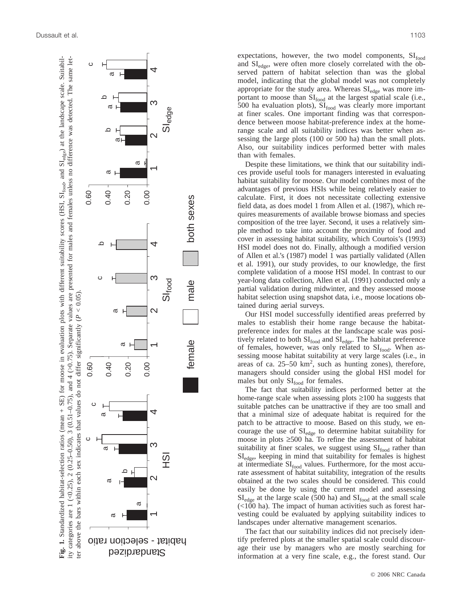

expectations, however, the two model components,  $SI_{food}$ and SI<sub>edge</sub>, were often more closely correlated with the observed pattern of habitat selection than was the global model, indicating that the global model was not completely appropriate for the study area. Whereas  $SI_{\text{edge}}$  was more important to moose than  $SI_{food}$  at the largest spatial scale (i.e., 500 ha evaluation plots),  $SI<sub>food</sub>$  was clearly more important at finer scales. One important finding was that correspondence between moose habitat-preference index at the homerange scale and all suitability indices was better when assessing the large plots (100 or 500 ha) than the small plots. Also, our suitability indices performed better with males than with females.

Despite these limitations, we think that our suitability indices provide useful tools for managers interested in evaluating habitat suitability for moose. Our model combines most of the advantages of previous HSIs while being relatively easier to calculate. First, it does not necessitate collecting extensive field data, as does model 1 from Allen et al. (1987), which requires measurements of available browse biomass and species composition of the tree layer. Second, it uses a relatively simple method to take into account the proximity of food and cover in assessing habitat suitability, which Courtois's (1993) HSI model does not do. Finally, although a modified version of Allen et al.'s (1987) model 1 was partially validated (Allen et al. 1991), our study provides, to our knowledge, the first complete validation of a moose HSI model. In contrast to our year-long data collection, Allen et al. (1991) conducted only a partial validation during midwinter, and they assessed moose habitat selection using snapshot data, i.e., moose locations obtained during aerial surveys.

Our HSI model successfully identified areas preferred by males to establish their home range because the habitatpreference index for males at the landscape scale was positively related to both  $SI<sub>food</sub>$  and  $SI<sub>edge</sub>$ . The habitat preference of females, however, was only related to  $SI<sub>food</sub>$ . When assessing moose habitat suitability at very large scales (i.e., in areas of ca.  $25-50 \text{ km}^2$ , such as hunting zones), therefore, managers should consider using the global HSI model for males but only  $SI_{food}$  for females.

The fact that suitability indices performed better at the home-range scale when assessing plots ≥100 ha suggests that suitable patches can be unattractive if they are too small and that a minimal size of adequate habitat is required for the patch to be attractive to moose. Based on this study, we encourage the use of  $SI_{edge}$  to determine habitat suitability for moose in plots ≥500 ha. To refine the assessment of habitat suitability at finer scales, we suggest using  $SI<sub>food</sub>$  rather than SIedge, keeping in mind that suitability for females is highest at intermediate SI<sub>food</sub> values. Furthermore, for the most accurate assessment of habitat suitability, integration of the results obtained at the two scales should be considered. This could easily be done by using the current model and assessing  $SI_{edge}$  at the large scale (500 ha) and  $SI_{food}$  at the small scale (<100 ha). The impact of human activities such as forest harvesting could be evaluated by applying suitability indices to landscapes under alternative management scenarios.

The fact that our suitability indices did not precisely identify preferred plots at the smaller spatial scale could discourage their use by managers who are mostly searching for information at a very fine scale, e.g., the forest stand. Our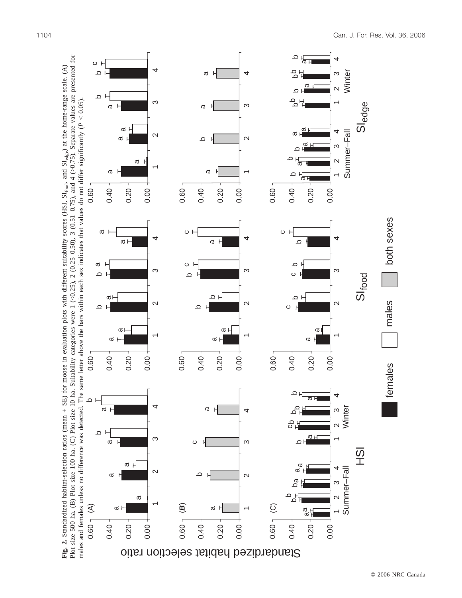

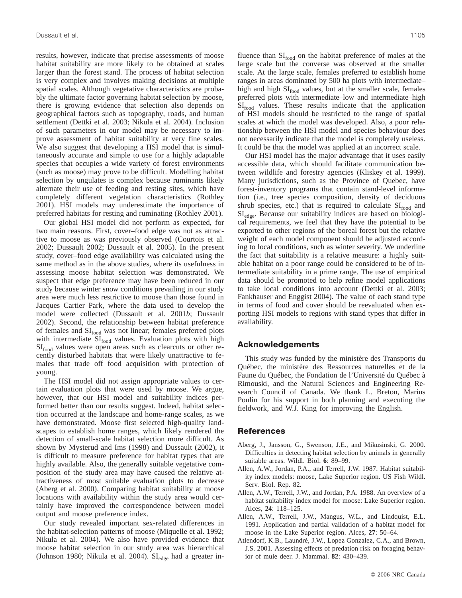results, however, indicate that precise assessments of moose habitat suitability are more likely to be obtained at scales larger than the forest stand. The process of habitat selection is very complex and involves making decisions at multiple spatial scales. Although vegetative characteristics are probably the ultimate factor governing habitat selection by moose, there is growing evidence that selection also depends on geographical factors such as topography, roads, and human settlement (Dettki et al. 2003; Nikula et al. 2004). Inclusion of such parameters in our model may be necessary to improve assessment of habitat suitability at very fine scales. We also suggest that developing a HSI model that is simultaneously accurate and simple to use for a highly adaptable species that occupies a wide variety of forest environments (such as moose) may prove to be difficult. Modelling habitat selection by ungulates is complex because ruminants likely alternate their use of feeding and resting sites, which have completely different vegetation characteristics (Rothley 2001). HSI models may underestimate the importance of preferred habitats for resting and ruminating (Rothley 2001).

Our global HSI model did not perform as expected, for two main reasons. First, cover–food edge was not as attractive to moose as was previously observed (Courtois et al. 2002; Dussault 2002; Dussault et al. 2005). In the present study, cover–food edge availability was calculated using the same method as in the above studies, where its usefulness in assessing moose habitat selection was demonstrated. We suspect that edge preference may have been reduced in our study because winter snow conditions prevailing in our study area were much less restrictive to moose than those found in Jacques Cartier Park, where the data used to develop the model were collected (Dussault et al. 2001*b*; Dussault 2002). Second, the relationship between habitat preference of females and  $SI_{food}$  was not linear; females preferred plots with intermediate  $SI_{food}$  values. Evaluation plots with high SI<sub>food</sub> values were open areas such as clearcuts or other recently disturbed habitats that were likely unattractive to females that trade off food acquisition with protection of young.

The HSI model did not assign appropriate values to certain evaluation plots that were used by moose. We argue, however, that our HSI model and suitability indices performed better than our results suggest. Indeed, habitat selection occurred at the landscape and home-range scales, as we have demonstrated. Moose first selected high-quality landscapes to establish home ranges, which likely rendered the detection of small-scale habitat selection more difficult. As shown by Mysterud and Ims (1998) and Dussault (2002), it is difficult to measure preference for habitat types that are highly available. Also, the generally suitable vegetative composition of the study area may have caused the relative attractiveness of most suitable evaluation plots to decrease (Aberg et al. 2000). Comparing habitat suitability at moose locations with availability within the study area would certainly have improved the correspondence between model output and moose preference index.

Our study revealed important sex-related differences in the habitat-selection patterns of moose (Miquelle et al. 1992; Nikula et al. 2004). We also have provided evidence that moose habitat selection in our study area was hierarchical (Johnson 1980; Nikula et al. 2004).  $SI_{edge}$  had a greater influence than  $SI_{food}$  on the habitat preference of males at the large scale but the converse was observed at the smaller scale. At the large scale, females preferred to establish home ranges in areas dominated by 500 ha plots with intermediate– high and high  $SI<sub>food</sub>$  values, but at the smaller scale, females preferred plots with intermediate–low and intermediate–high SI<sub>food</sub> values. These results indicate that the application of HSI models should be restricted to the range of spatial scales at which the model was developed. Also, a poor relationship between the HSI model and species behaviour does not necessarily indicate that the model is completely useless. It could be that the model was applied at an incorrect scale.

Our HSI model has the major advantage that it uses easily accessible data, which should facilitate communication between wildlife and forestry agencies (Kliskey et al. 1999). Many jurisdictions, such as the Province of Quebec, have forest-inventory programs that contain stand-level information (i.e., tree species composition, density of deciduous shrub species, etc.) that is required to calculate  $SI<sub>food</sub>$  and  $SI_{\text{edge}}$ . Because our suitability indices are based on biological requirements, we feel that they have the potential to be exported to other regions of the boreal forest but the relative weight of each model component should be adjusted according to local conditions, such as winter severity. We underline the fact that suitability is a relative measure: a highly suitable habitat on a poor range could be considered to be of intermediate suitability in a prime range. The use of empirical data should be promoted to help refine model applications to take local conditions into account (Dettki et al. 2003; Fankhauser and Enggist 2004). The value of each stand type in terms of food and cover should be reevaluated when exporting HSI models to regions with stand types that differ in availability.

## **Acknowledgements**

This study was funded by the ministère des Transports du Québec, the ministère des Ressources naturelles et de la Faune du Québec, the Fondation de l'Université du Québec à Rimouski, and the Natural Sciences and Engineering Research Council of Canada. We thank L. Breton, Marius Poulin for his support in both planning and executing the fieldwork, and W.J. King for improving the English.

#### **References**

- Aberg, J., Jansson, G., Swenson, J.E., and Mikusinski, G. 2000. Difficulties in detecting habitat selection by animals in generally suitable areas. Wildl. Biol. **6**: 89–99.
- Allen, A.W., Jordan, P.A., and Terrell, J.W. 1987. Habitat suitability index models: moose, Lake Superior region. US Fish Wildl. Serv. Biol. Rep. 82.
- Allen, A.W., Terrell, J.W., and Jordan, P.A. 1988. An overview of a habitat suitability index model for moose: Lake Superior region. Alces, **24**: 118–125.
- Allen, A.W., Terrell, J.W., Mangus, W.L., and Lindquist, E.L. 1991. Application and partial validation of a habitat model for moose in the Lake Superior region. Alces, **27**: 50–64.
- Atlendorf, K.B., Laundré, J.W., Lopez Gonzalez, C.A., and Brown, J.S. 2001. Assessing effects of predation risk on foraging behavior of mule deer. J. Mammal. **82**: 430–439.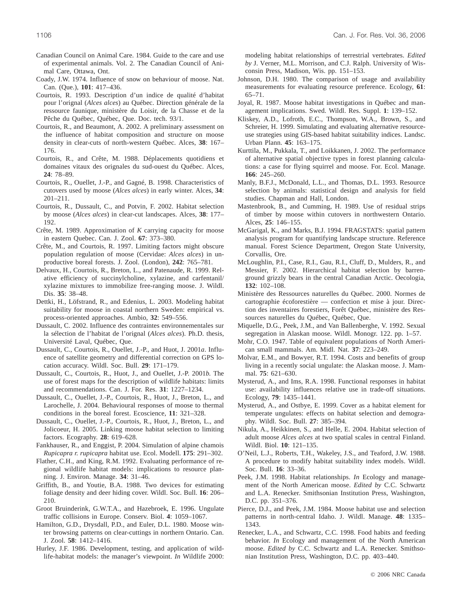- Canadian Council on Animal Care. 1984. Guide to the care and use of experimental animals. Vol. 2. The Canadian Council of Animal Care, Ottawa, Ont.
- Coady, J.W. 1974. Influence of snow on behaviour of moose. Nat. Can. (Que.), **101**: 417–436.
- Courtois, R. 1993. Description d'un indice de qualité d'habitat pour l'orignal (*Alces alces*) au Québec. Direction générale de la ressource faunique, ministère du Loisir, de la Chasse et de la Pêche du Québec, Québec, Que. Doc. tech. 93/1.
- Courtois, R., and Beaumont, A. 2002. A preliminary assessment on the influence of habitat composition and structure on moose density in clear-cuts of north-western Québec. Alces, **38**: 167– 176.
- Courtois, R., and Crête, M. 1988. Déplacements quotidiens et domaines vitaux des orignales du sud-ouest du Québec. Alces, **24**: 78–89.
- Courtois, R., Ouellet, J.-P., and Gagné, B. 1998. Characteristics of cutovers used by moose (*Alces alces*) in early winter. Alces, **34**: 201–211.
- Courtois, R., Dussault, C., and Potvin, F. 2002. Habitat selection by moose (*Alces alces*) in clear-cut landscapes. Alces, **38**: 177– 192.
- Crête, M. 1989. Approximation of *K* carrying capacity for moose in eastern Quebec. Can. J. Zool. **67**: 373–380.
- Crête, M., and Courtois, R. 1997. Limiting factors might obscure population regulation of moose (Cervidae: *Alces alces*) in unproductive boreal forests. J. Zool. (London), **242**: 765–781.
- Delvaux, H., Courtois, R., Breton, L., and Patenaude, R. 1999. Relative efficiency of succinylcholine, xylazine, and carfentanil/ xylazine mixtures to immobilize free-ranging moose. J. Wildl. Dis. **35**: 38–48.
- Dettki, H., Löfstrand, R., and Edenius, L. 2003. Modeling habitat suitability for moose in coastal northern Sweden: empirical vs. process-oriented approaches. Ambio, **32**: 549–556.
- Dussault, C. 2002. Influence des contraintes environnementales sur la sélection de l'habitat de l'orignal (*Alces alces*). Ph.D. thesis, Université Laval, Québec, Que.
- Dussault, C., Courtois, R., Ouellet, J.-P., and Huot, J. 2001*a*. Influence of satellite geometry and differential correction on GPS location accuracy. Wildl. Soc. Bull. **29**: 171–179.
- Dussault, C., Courtois, R., Huot, J., and Ouellet, J.-P. 2001*b*. The use of forest maps for the description of wildlife habitats: limits and recommendations. Can. J. For. Res. **31**: 1227–1234.
- Dussault, C., Ouellet, J.-P., Courtois, R., Huot, J., Breton, L., and Larochelle, J. 2004. Behavioural responses of moose to thermal conditions in the boreal forest. Ecoscience, **11**: 321–328.
- Dussault, C., Ouellet, J.-P., Courtois, R., Huot, J., Breton, L., and Jolicoeur, H. 2005. Linking moose habitat selection to limiting factors. Ecography. **28**: 619–628.
- Fankhauser, R., and Enggist, P. 2004. Simulation of alpine chamois *Rupicapra r. rupicapra* habitat use. Ecol. Modell. **175**: 291–302.
- Flather, C.H., and King, R.M. 1992. Evaluating performance of regional wildlife habitat models: implications to resource planning. J. Environ. Manage. **34**: 31–46.
- Griffith, B., and Youtie, B.A. 1988. Two devices for estimating foliage density and deer hiding cover. Wildl. Soc. Bull. **16**: 206– 210.
- Groot Bruinderink, G.W.T.A., and Hazebroek, E. 1996. Ungulate traffic collisions in Europe. Conserv. Biol. **4**: 1059–1067.
- Hamilton, G.D., Drysdall, P.D., and Euler, D.L. 1980. Moose winter browsing patterns on clear-cuttings in northern Ontario. Can. J. Zool. **58**: 1412–1416.
- Hurley, J.F. 1986. Development, testing, and application of wildlife-habitat models: the manager's viewpoint. *In* Wildlife 2000:

modeling habitat relationships of terrestrial vertebrates. *Edited by* J. Verner, M.L. Morrison, and C.J. Ralph. University of Wisconsin Press, Madison, Wis. pp. 151–153.

- Johnson, D.H. 1980. The comparison of usage and availability measurements for evaluating resource preference. Ecology, **61**: 65–71.
- Joyal, R. 1987. Moose habitat investigations in Québec and management implications. Swed. Wildl. Res. Suppl. **1**: 139–152.
- Kliskey, A.D., Lofroth, E.C., Thompson, W.A., Brown, S., and Schreier, H. 1999. Simulating and evaluating alternative resourceuse strategies using GIS-based habitat suitability indices. Landsc. Urban Plann. **45**: 163–175.
- Kurttila, M., Pukkala, T., and Loikkanen, J. 2002. The performance of alternative spatial objective types in forest planning calculations: a case for flying squirrel and moose. For. Ecol. Manage. **166**: 245–260.
- Manly, B.F.J., McDonald, L.L., and Thomas, D.L. 1993. Resource selection by animals: statistical design and analysis for field studies. Chapman and Hall, London.
- Mastenbrook, B., and Cumming, H. 1989. Use of residual strips of timber by moose within cutovers in northwestern Ontario. Alces, **25**: 146–155.
- McGarigal, K., and Marks, B.J. 1994. FRAGSTATS: spatial pattern analysis program for quantifying landscape structure. Reference manual. Forest Science Department, Oregon State University, Corvallis, Ore.
- McLoughlin, P.I., Case, R.I., Gau, R.I., Cluff, D., Mulders, R., and Messier, F. 2002. Hierarchical habitat selection by barrenground grizzly bears in the central Canadian Arctic. Oecologia, **132**: 102–108.
- Ministère des Ressources naturelles du Québec. 2000. Normes de cartographie écoforestière — confection et mise à jour. Direction des inventaires forestiers, Forêt Québec, ministère des Ressources naturelles du Québec, Québec, Que.
- Miquelle, D.G., Peek, J.M., and Van Ballenberghe, V. 1992. Sexual segregation in Alaskan moose. Wildl. Monogr. 122. pp. 1–57.
- Mohr, C.O. 1947. Table of equivalent populations of North American small mammals. Am. Midl. Nat. **37**: 223–249.
- Molvar, E.M., and Bowyer, R.T. 1994. Costs and benefits of group living in a recently social ungulate: the Alaskan moose. J. Mammal. **75**: 621–630.
- Mysterud, A., and Ims, R.A. 1998. Functional responses in habitat use: availability influences relative use in trade-off situations. Ecology, **79**: 1435–1441.
- Mysterud, A., and Ostbye, E. 1999. Cover as a habitat element for temperate ungulates: effects on habitat selection and demography. Wildl. Soc. Bull. **27**: 385–394.
- Nikula, A., Heikkinen, S., and Helle, E. 2004. Habitat selection of adult moose *Alces alces* at two spatial scales in central Finland. Wildl. Biol. **10**: 121–135.
- O'Neil, L.J., Roberts, T.H., Wakeley, J.S., and Teaford, J.W. 1988. A procedure to modify habitat suitability index models. Wildl. Soc. Bull. **16**: 33–36.
- Peek, J.M. 1998. Habitat relationships. *In* Ecology and management of the North American moose. *Edited by* C.C. Schwartz and L.A. Renecker. Smithsonian Institution Press, Washington, D.C. pp. 351–376.
- Pierce, D.J., and Peek, J.M. 1984. Moose habitat use and selection patterns in north-central Idaho. J. Wildl. Manage. **48**: 1335– 1343.
- Renecker, L.A., and Schwartz, C.C. 1998. Food habits and feeding behavior. *In* Ecology and management of the North American moose. *Edited by* C.C. Schwartz and L.A. Renecker. Smithsonian Institution Press, Washington, D.C. pp. 403–440.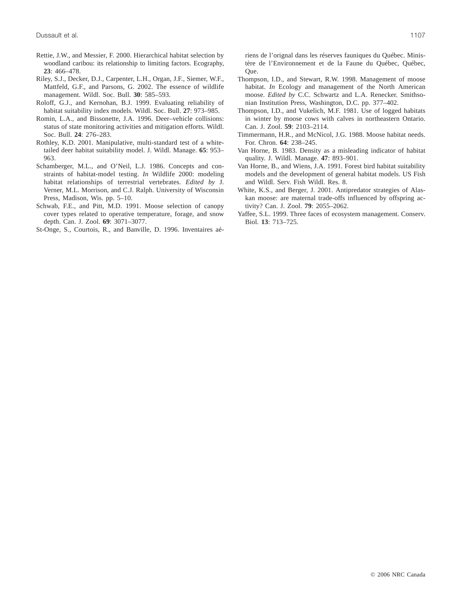- Rettie, J.W., and Messier, F. 2000. Hierarchical habitat selection by woodland caribou: its relationship to limiting factors. Ecography, **23**: 466–478.
- Riley, S.J., Decker, D.J., Carpenter, L.H., Organ, J.F., Siemer, W.F., Mattfeld, G.F., and Parsons, G. 2002. The essence of wildlife management. Wildl. Soc. Bull. **30**: 585–593.
- Roloff, G.J., and Kernohan, B.J. 1999. Evaluating reliability of habitat suitability index models. Wildl. Soc. Bull. **27**: 973–985.
- Romin, L.A., and Bissonette, J.A. 1996. Deer–vehicle collisions: status of state monitoring activities and mitigation efforts. Wildl. Soc. Bull. **24**: 276–283.
- Rothley, K.D. 2001. Manipulative, multi-standard test of a whitetailed deer habitat suitability model. J. Wildl. Manage. **65**: 953– 963.
- Schamberger, M.L., and O'Neil, L.J. 1986. Concepts and constraints of habitat-model testing. *In* Wildlife 2000: modeling habitat relationships of terrestrial vertebrates. *Edited by* J. Verner, M.L. Morrison, and C.J. Ralph. University of Wisconsin Press, Madison, Wis. pp. 5–10.
- Schwab, F.E., and Pitt, M.D. 1991. Moose selection of canopy cover types related to operative temperature, forage, and snow depth. Can. J. Zool. **69**: 3071–3077.
- St-Onge, S., Courtois, R., and Banville, D. 1996. Inventaires aé-

riens de l'orignal dans les réserves fauniques du Québec. Ministère de l'Environnement et de la Faune du Québec, Québec, Que.

- Thompson, I.D., and Stewart, R.W. 1998. Management of moose habitat. *In* Ecology and management of the North American moose. *Edited by* C.C. Schwartz and L.A. Renecker. Smithsonian Institution Press, Washington, D.C. pp. 377–402.
- Thompson, I.D., and Vukelich, M.F. 1981. Use of logged habitats in winter by moose cows with calves in northeastern Ontario. Can. J. Zool. **59**: 2103–2114.
- Timmermann, H.R., and McNicol, J.G. 1988. Moose habitat needs. For. Chron. **64**: 238–245.
- Van Horne, B. 1983. Density as a misleading indicator of habitat quality. J. Wildl. Manage. **47**: 893–901.
- Van Horne, B., and Wiens, J.A. 1991. Forest bird habitat suitability models and the development of general habitat models. US Fish and Wildl. Serv. Fish Wildl. Res. 8.
- White, K.S., and Berger, J. 2001. Antipredator strategies of Alaskan moose: are maternal trade-offs influenced by offspring activity? Can. J. Zool. **79**: 2055–2062.
- Yaffee, S.L. 1999. Three faces of ecosystem management. Conserv. Biol. **13**: 713–725.